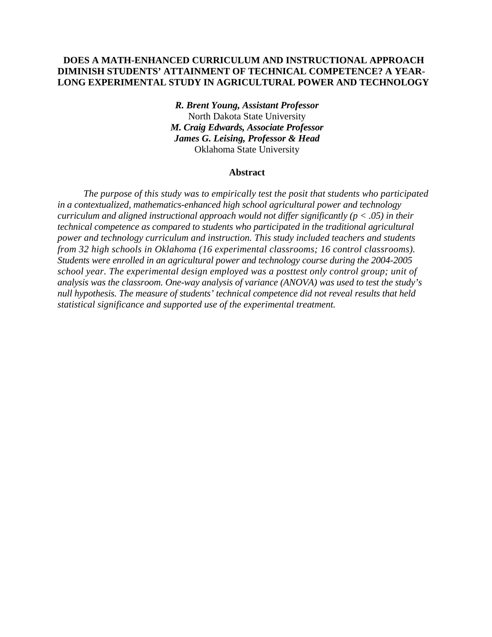## **DOES A MATH-ENHANCED CURRICULUM AND INSTRUCTIONAL APPROACH DIMINISH STUDENTS' ATTAINMENT OF TECHNICAL COMPETENCE? A YEAR-LONG EXPERIMENTAL STUDY IN AGRICULTURAL POWER AND TECHNOLOGY**

*R. Brent Young, Assistant Professor*  North Dakota State University *M. Craig Edwards, Associate Professor James G. Leising, Professor & Head*  Oklahoma State University

#### **Abstract**

*The purpose of this study was to empirically test the posit that students who participated in a contextualized, mathematics-enhanced high school agricultural power and technology curriculum and aligned instructional approach would not differ significantly (p < .05) in their technical competence as compared to students who participated in the traditional agricultural power and technology curriculum and instruction. This study included teachers and students from 32 high schools in Oklahoma (16 experimental classrooms; 16 control classrooms). Students were enrolled in an agricultural power and technology course during the 2004-2005 school year. The experimental design employed was a posttest only control group; unit of analysis was the classroom. One-way analysis of variance (ANOVA) was used to test the study's null hypothesis. The measure of students' technical competence did not reveal results that held statistical significance and supported use of the experimental treatment.*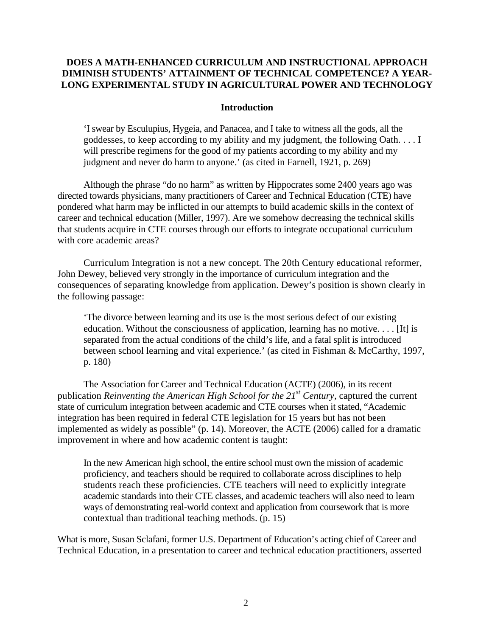# **DOES A MATH-ENHANCED CURRICULUM AND INSTRUCTIONAL APPROACH DIMINISH STUDENTS' ATTAINMENT OF TECHNICAL COMPETENCE? A YEAR-LONG EXPERIMENTAL STUDY IN AGRICULTURAL POWER AND TECHNOLOGY**

## **Introduction**

'I swear by Esculupius, Hygeia, and Panacea, and I take to witness all the gods, all the goddesses, to keep according to my ability and my judgment, the following Oath. . . . I will prescribe regimens for the good of my patients according to my ability and my judgment and never do harm to anyone.' (as cited in Farnell, 1921, p. 269)

Although the phrase "do no harm" as written by Hippocrates some 2400 years ago was directed towards physicians, many practitioners of Career and Technical Education (CTE) have pondered what harm may be inflicted in our attempts to build academic skills in the context of career and technical education (Miller, 1997). Are we somehow decreasing the technical skills that students acquire in CTE courses through our efforts to integrate occupational curriculum with core academic areas?

Curriculum Integration is not a new concept. The 20th Century educational reformer, John Dewey, believed very strongly in the importance of curriculum integration and the consequences of separating knowledge from application. Dewey's position is shown clearly in the following passage:

'The divorce between learning and its use is the most serious defect of our existing education. Without the consciousness of application, learning has no motive. . . . [It] is separated from the actual conditions of the child's life, and a fatal split is introduced between school learning and vital experience.' (as cited in Fishman & McCarthy, 1997, p. 180)

The Association for Career and Technical Education (ACTE) (2006), in its recent publication *Reinventing the American High School for the 21st Century,* captured the current state of curriculum integration between academic and CTE courses when it stated, "Academic integration has been required in federal CTE legislation for 15 years but has not been implemented as widely as possible" (p. 14). Moreover, the ACTE (2006) called for a dramatic improvement in where and how academic content is taught:

In the new American high school, the entire school must own the mission of academic proficiency, and teachers should be required to collaborate across disciplines to help students reach these proficiencies. CTE teachers will need to explicitly integrate academic standards into their CTE classes, and academic teachers will also need to learn ways of demonstrating real-world context and application from coursework that is more contextual than traditional teaching methods. (p. 15)

What is more, Susan Sclafani, former U.S. Department of Education's acting chief of Career and Technical Education, in a presentation to career and technical education practitioners, asserted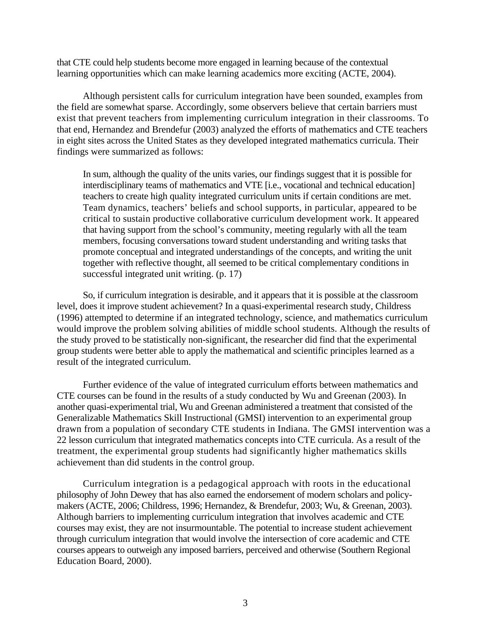that CTE could help students become more engaged in learning because of the contextual learning opportunities which can make learning academics more exciting (ACTE, 2004).

Although persistent calls for curriculum integration have been sounded, examples from the field are somewhat sparse. Accordingly, some observers believe that certain barriers must exist that prevent teachers from implementing curriculum integration in their classrooms. To that end, Hernandez and Brendefur (2003) analyzed the efforts of mathematics and CTE teachers in eight sites across the United States as they developed integrated mathematics curricula. Their findings were summarized as follows:

In sum, although the quality of the units varies, our findings suggest that it is possible for interdisciplinary teams of mathematics and VTE [i.e., vocational and technical education] teachers to create high quality integrated curriculum units if certain conditions are met. Team dynamics, teachers' beliefs and school supports, in particular, appeared to be critical to sustain productive collaborative curriculum development work. It appeared that having support from the school's community, meeting regularly with all the team members, focusing conversations toward student understanding and writing tasks that promote conceptual and integrated understandings of the concepts, and writing the unit together with reflective thought, all seemed to be critical complementary conditions in successful integrated unit writing. (p. 17)

So, if curriculum integration is desirable, and it appears that it is possible at the classroom level, does it improve student achievement? In a quasi-experimental research study, Childress (1996) attempted to determine if an integrated technology, science, and mathematics curriculum would improve the problem solving abilities of middle school students. Although the results of the study proved to be statistically non-significant, the researcher did find that the experimental group students were better able to apply the mathematical and scientific principles learned as a result of the integrated curriculum.

Further evidence of the value of integrated curriculum efforts between mathematics and CTE courses can be found in the results of a study conducted by Wu and Greenan (2003). In another quasi-experimental trial, Wu and Greenan administered a treatment that consisted of the Generalizable Mathematics Skill Instructional (GMSI) intervention to an experimental group drawn from a population of secondary CTE students in Indiana. The GMSI intervention was a 22 lesson curriculum that integrated mathematics concepts into CTE curricula. As a result of the treatment, the experimental group students had significantly higher mathematics skills achievement than did students in the control group.

Curriculum integration is a pedagogical approach with roots in the educational philosophy of John Dewey that has also earned the endorsement of modern scholars and policymakers (ACTE, 2006; Childress, 1996; Hernandez, & Brendefur, 2003; Wu, & Greenan, 2003). Although barriers to implementing curriculum integration that involves academic and CTE courses may exist, they are not insurmountable. The potential to increase student achievement through curriculum integration that would involve the intersection of core academic and CTE courses appears to outweigh any imposed barriers, perceived and otherwise (Southern Regional Education Board, 2000).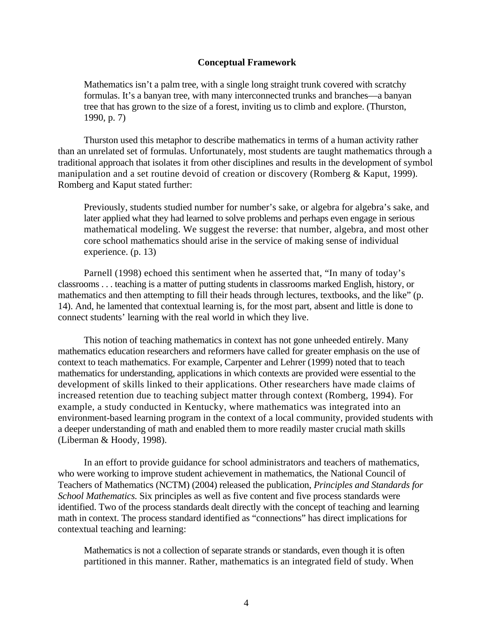## **Conceptual Framework**

Mathematics isn't a palm tree, with a single long straight trunk covered with scratchy formulas. It's a banyan tree, with many interconnected trunks and branches—a banyan tree that has grown to the size of a forest, inviting us to climb and explore. (Thurston, 1990, p. 7)

Thurston used this metaphor to describe mathematics in terms of a human activity rather than an unrelated set of formulas. Unfortunately, most students are taught mathematics through a traditional approach that isolates it from other disciplines and results in the development of symbol manipulation and a set routine devoid of creation or discovery (Romberg & Kaput, 1999). Romberg and Kaput stated further:

Previously, students studied number for number's sake, or algebra for algebra's sake, and later applied what they had learned to solve problems and perhaps even engage in serious mathematical modeling. We suggest the reverse: that number, algebra, and most other core school mathematics should arise in the service of making sense of individual experience. (p. 13)

Parnell (1998) echoed this sentiment when he asserted that, "In many of today's classrooms . . . teaching is a matter of putting students in classrooms marked English, history, or mathematics and then attempting to fill their heads through lectures, textbooks, and the like" (p. 14). And, he lamented that contextual learning is, for the most part, absent and little is done to connect students' learning with the real world in which they live.

This notion of teaching mathematics in context has not gone unheeded entirely. Many mathematics education researchers and reformers have called for greater emphasis on the use of context to teach mathematics. For example, Carpenter and Lehrer (1999) noted that to teach mathematics for understanding, applications in which contexts are provided were essential to the development of skills linked to their applications. Other researchers have made claims of increased retention due to teaching subject matter through context (Romberg, 1994). For example, a study conducted in Kentucky, where mathematics was integrated into an environment-based learning program in the context of a local community, provided students with a deeper understanding of math and enabled them to more readily master crucial math skills (Liberman & Hoody, 1998).

In an effort to provide guidance for school administrators and teachers of mathematics, who were working to improve student achievement in mathematics, the National Council of Teachers of Mathematics (NCTM) (2004) released the publication, *Principles and Standards for School Mathematics.* Six principles as well as five content and five process standards were identified. Two of the process standards dealt directly with the concept of teaching and learning math in context. The process standard identified as "connections" has direct implications for contextual teaching and learning:

Mathematics is not a collection of separate strands or standards, even though it is often partitioned in this manner. Rather, mathematics is an integrated field of study. When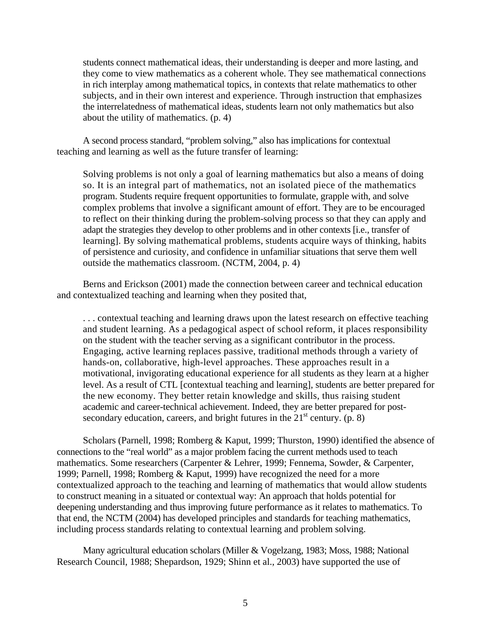students connect mathematical ideas, their understanding is deeper and more lasting, and they come to view mathematics as a coherent whole. They see mathematical connections in rich interplay among mathematical topics, in contexts that relate mathematics to other subjects, and in their own interest and experience. Through instruction that emphasizes the interrelatedness of mathematical ideas, students learn not only mathematics but also about the utility of mathematics. (p. 4)

A second process standard, "problem solving," also has implications for contextual teaching and learning as well as the future transfer of learning:

Solving problems is not only a goal of learning mathematics but also a means of doing so. It is an integral part of mathematics, not an isolated piece of the mathematics program. Students require frequent opportunities to formulate, grapple with, and solve complex problems that involve a significant amount of effort. They are to be encouraged to reflect on their thinking during the problem-solving process so that they can apply and adapt the strategies they develop to other problems and in other contexts [i.e., transfer of learning]. By solving mathematical problems, students acquire ways of thinking, habits of persistence and curiosity, and confidence in unfamiliar situations that serve them well outside the mathematics classroom. (NCTM, 2004, p. 4)

Berns and Erickson (2001) made the connection between career and technical education and contextualized teaching and learning when they posited that,

. . . contextual teaching and learning draws upon the latest research on effective teaching and student learning. As a pedagogical aspect of school reform, it places responsibility on the student with the teacher serving as a significant contributor in the process. Engaging, active learning replaces passive, traditional methods through a variety of hands-on, collaborative, high-level approaches. These approaches result in a motivational, invigorating educational experience for all students as they learn at a higher level. As a result of CTL [contextual teaching and learning], students are better prepared for the new economy. They better retain knowledge and skills, thus raising student academic and career-technical achievement. Indeed, they are better prepared for postsecondary education, careers, and bright futures in the  $21<sup>st</sup>$  century. (p. 8)

Scholars (Parnell, 1998; Romberg & Kaput, 1999; Thurston, 1990) identified the absence of connections to the "real world" as a major problem facing the current methods used to teach mathematics. Some researchers (Carpenter & Lehrer, 1999; Fennema, Sowder, & Carpenter, 1999; Parnell, 1998; Romberg & Kaput, 1999) have recognized the need for a more contextualized approach to the teaching and learning of mathematics that would allow students to construct meaning in a situated or contextual way: An approach that holds potential for deepening understanding and thus improving future performance as it relates to mathematics. To that end, the NCTM (2004) has developed principles and standards for teaching mathematics, including process standards relating to contextual learning and problem solving.

Many agricultural education scholars (Miller & Vogelzang, 1983; Moss, 1988; National Research Council, 1988; Shepardson, 1929; Shinn et al., 2003) have supported the use of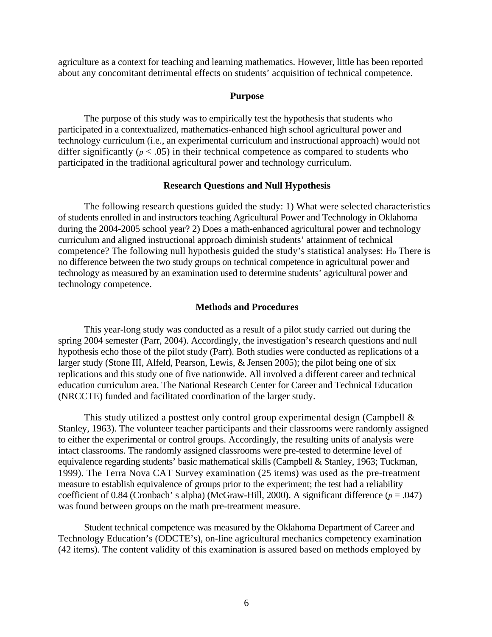agriculture as a context for teaching and learning mathematics. However, little has been reported about any concomitant detrimental effects on students' acquisition of technical competence.

#### **Purpose**

The purpose of this study was to empirically test the hypothesis that students who participated in a contextualized, mathematics-enhanced high school agricultural power and technology curriculum (i.e., an experimental curriculum and instructional approach) would not differ significantly ( $p < .05$ ) in their technical competence as compared to students who participated in the traditional agricultural power and technology curriculum.

## **Research Questions and Null Hypothesis**

The following research questions guided the study: 1) What were selected characteristics of students enrolled in and instructors teaching Agricultural Power and Technology in Oklahoma during the 2004-2005 school year? 2) Does a math-enhanced agricultural power and technology curriculum and aligned instructional approach diminish students' attainment of technical competence? The following null hypothesis guided the study's statistical analyses: Ho There is no difference between the two study groups on technical competence in agricultural power and technology as measured by an examination used to determine students' agricultural power and technology competence.

## **Methods and Procedures**

This year-long study was conducted as a result of a pilot study carried out during the spring 2004 semester (Parr, 2004). Accordingly, the investigation's research questions and null hypothesis echo those of the pilot study (Parr). Both studies were conducted as replications of a larger study (Stone III, Alfeld, Pearson, Lewis, & Jensen 2005); the pilot being one of six replications and this study one of five nationwide. All involved a different career and technical education curriculum area. The National Research Center for Career and Technical Education (NRCCTE) funded and facilitated coordination of the larger study.

This study utilized a posttest only control group experimental design (Campbell & Stanley, 1963). The volunteer teacher participants and their classrooms were randomly assigned to either the experimental or control groups. Accordingly, the resulting units of analysis were intact classrooms. The randomly assigned classrooms were pre-tested to determine level of equivalence regarding students' basic mathematical skills (Campbell & Stanley, 1963; Tuckman, 1999). The Terra Nova CAT Survey examination (25 items) was used as the pre-treatment measure to establish equivalence of groups prior to the experiment; the test had a reliability coefficient of 0.84 (Cronbach' s alpha) (McGraw-Hill, 2000). A significant difference  $(p = .047)$ was found between groups on the math pre-treatment measure.

Student technical competence was measured by the Oklahoma Department of Career and Technology Education's (ODCTE's), on-line agricultural mechanics competency examination (42 items). The content validity of this examination is assured based on methods employed by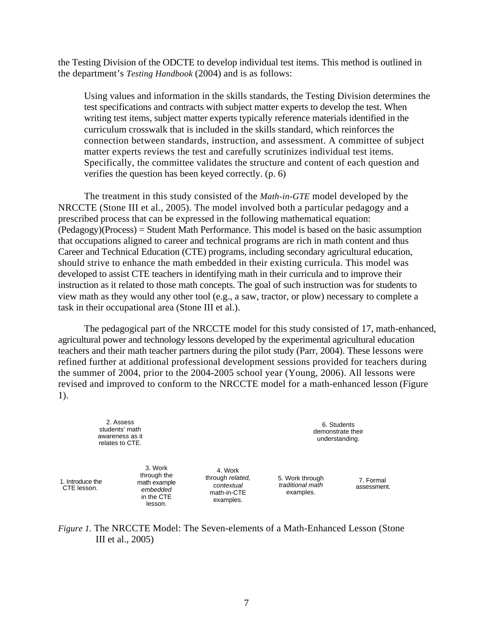the Testing Division of the ODCTE to develop individual test items. This method is outlined in the department's *Testing Handbook* (2004) and is as follows:

Using values and information in the skills standards, the Testing Division determines the test specifications and contracts with subject matter experts to develop the test. When writing test items, subject matter experts typically reference materials identified in the curriculum crosswalk that is included in the skills standard, which reinforces the connection between standards, instruction, and assessment. A committee of subject matter experts reviews the test and carefully scrutinizes individual test items. Specifically, the committee validates the structure and content of each question and verifies the question has been keyed correctly. (p. 6)

The treatment in this study consisted of the *Math-in-GTE* model developed by the NRCCTE (Stone III et al., 2005). The model involved both a particular pedagogy and a prescribed process that can be expressed in the following mathematical equation: (Pedagogy)(Process) = Student Math Performance. This model is based on the basic assumption that occupations aligned to career and technical programs are rich in math content and thus Career and Technical Education (CTE) programs, including secondary agricultural education, should strive to enhance the math embedded in their existing curricula. This model was developed to assist CTE teachers in identifying math in their curricula and to improve their instruction as it related to those math concepts. The goal of such instruction was for students to view math as they would any other tool (e.g., a saw, tractor, or plow) necessary to complete a task in their occupational area (Stone III et al.).

The pedagogical part of the NRCCTE model for this study consisted of 17, math-enhanced, agricultural power and technology lessons developed by the experimental agricultural education teachers and their math teacher partners during the pilot study (Parr, 2004). These lessons were refined further at additional professional development sessions provided for teachers during the summer of 2004, prior to the 2004-2005 school year (Young, 2006). All lessons were revised and improved to conform to the NRCCTE model for a math-enhanced lesson (Figure 1).

> 2. Assess students' math awareness as it relates to CTE.

1. Introduce the CTE lesson.

3. Work through the math example *embedded*  in the CTE lesson.

4. Work through *related, contextual*  math-in-CTE examples.

6. Students demonstrate their understanding.

5. Work through *traditional math* examples.

7. Formal assessment.

*Figure 1.* The NRCCTE Model: The Seven-elements of a Math-Enhanced Lesson (Stone III et al., 2005)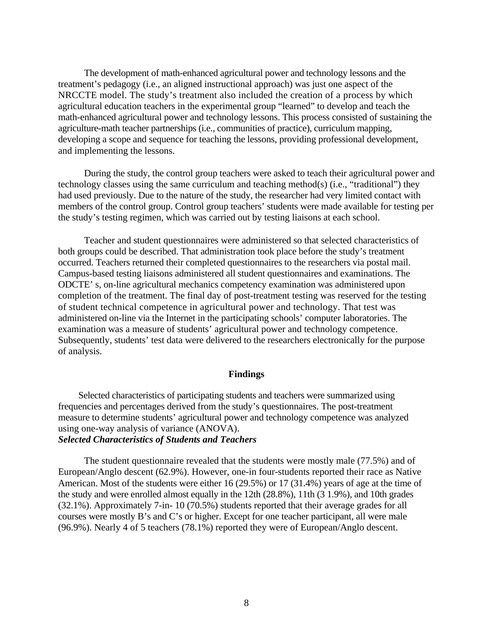The development of math-enhanced agricultural power and technology lessons and the treatment's pedagogy (i.e., an aligned instructional approach) was just one aspect of the NRCCTE model. The study's treatment also included the creation of a process by which agricultural education teachers in the experimental group "learned" to develop and teach the math-enhanced agricultural power and technology lessons. This process consisted of sustaining the agriculture-math teacher partnerships (i.e., communities of practice), curriculum mapping, developing a scope and sequence for teaching the lessons, providing professional development, and implementing the lessons.

During the study, the control group teachers were asked to teach their agricultural power and technology classes using the same curriculum and teaching method(s) (i.e., "traditional") they had used previously. Due to the nature of the study, the researcher had very limited contact with members of the control group. Control group teachers' students were made available for testing per the study's testing regimen, which was carried out by testing liaisons at each school.

Teacher and student questionnaires were administered so that selected characteristics of both groups could be described. That administration took place before the study's treatment occurred. Teachers returned their completed questionnaires to the researchers via postal mail. Campus-based testing liaisons administered all student questionnaires and examinations. The ODCTE' s, on-line agricultural mechanics competency examination was administered upon completion of the treatment. The final day of post-treatment testing was reserved for the testing of student technical competence in agricultural power and technology. That test was administered on-line via the Internet in the participating schools' computer laboratories. The examination was a measure of students' agricultural power and technology competence. Subsequently, students' test data were delivered to the researchers electronically for the purpose of analysis.

## **Findings**

Selected characteristics of participating students and teachers were summarized using frequencies and percentages derived from the study's questionnaires. The post-treatment measure to determine students' agricultural power and technology competence was analyzed using one-way analysis of variance (ANOVA).

# *Selected Characteristics of Students and Teachers*

The student questionnaire revealed that the students were mostly male (77.5%) and of European/Anglo descent (62.9%). However, one-in four-students reported their race as Native American. Most of the students were either 16 (29.5%) or 17 (31.4%) years of age at the time of the study and were enrolled almost equally in the 12th (28.8%), 11th (3 1.9%), and 10th grades (32.1%). Approximately 7-in- 10 (70.5%) students reported that their average grades for all courses were mostly B's and C's or higher. Except for one teacher participant, all were male (96.9%). Nearly 4 of 5 teachers (78.1%) reported they were of European/Anglo descent.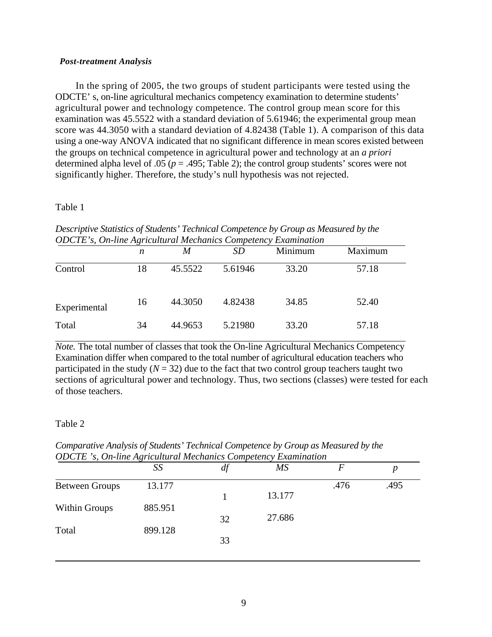#### *Post-treatment Analysis*

In the spring of 2005, the two groups of student participants were tested using the ODCTE' s, on-line agricultural mechanics competency examination to determine students' agricultural power and technology competence. The control group mean score for this examination was 45.5522 with a standard deviation of 5.61946; the experimental group mean score was 44.3050 with a standard deviation of 4.82438 (Table 1). A comparison of this data using a one-way ANOVA indicated that no significant difference in mean scores existed between the groups on technical competence in agricultural power and technology at an *a priori*  determined alpha level of .05 ( $p = .495$ ; Table 2); the control group students' scores were not significantly higher. Therefore, the study's null hypothesis was not rejected.

## Table 1

| ODCTE's, On-line Agricultural Mechanics Competency Examination |    |         |         |         |         |  |  |  |  |
|----------------------------------------------------------------|----|---------|---------|---------|---------|--|--|--|--|
|                                                                | n  | M       | SD      | Minimum | Maximum |  |  |  |  |
| Control                                                        | 18 | 45.5522 | 5.61946 | 33.20   | 57.18   |  |  |  |  |
| Experimental                                                   | 16 | 44.3050 | 4.82438 | 34.85   | 52.40   |  |  |  |  |
| Total                                                          | 34 | 44.9653 | 5.21980 | 33.20   | 57.18   |  |  |  |  |

*Descriptive Statistics of Students' Technical Competence by Group as Measured by the ODCTE's, On-line Agricultural Mechanics Competency Examination* 

*Note.* The total number of classes that took the On-line Agricultural Mechanics Competency Examination differ when compared to the total number of agricultural education teachers who participated in the study  $(N = 32)$  due to the fact that two control group teachers taught two sections of agricultural power and technology. Thus, two sections (classes) were tested for each of those teachers.

## Table 2

*Comparative Analysis of Students' Technical Competence by Group as Measured by the ODCTE 's, On-line Agricultural Mechanics Competency Examination* 

|                       | SS      | $\mu$ | <b>MS</b> |      | p    |
|-----------------------|---------|-------|-----------|------|------|
| <b>Between Groups</b> | 13.177  |       |           | .476 | .495 |
|                       |         |       | 13.177    |      |      |
| Within Groups         | 885.951 |       |           |      |      |
|                       |         | 32    | 27.686    |      |      |
| Total                 | 899.128 |       |           |      |      |
|                       |         | 33    |           |      |      |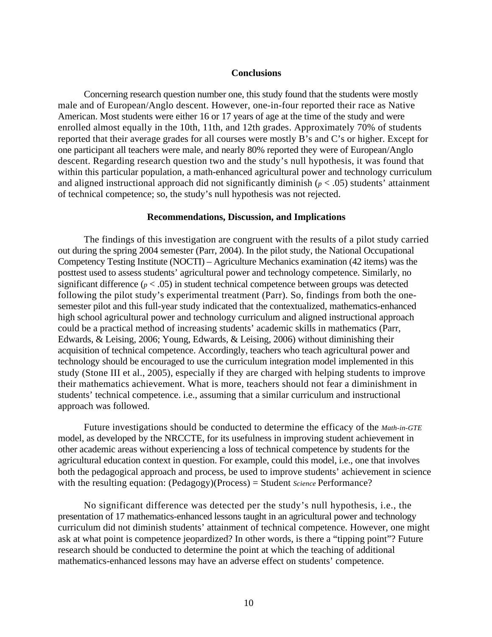#### **Conclusions**

Concerning research question number one, this study found that the students were mostly male and of European/Anglo descent. However, one-in-four reported their race as Native American. Most students were either 16 or 17 years of age at the time of the study and were enrolled almost equally in the 10th, 11th, and 12th grades. Approximately 70% of students reported that their average grades for all courses were mostly B's and C's or higher. Except for one participant all teachers were male, and nearly 80% reported they were of European/Anglo descent. Regarding research question two and the study's null hypothesis, it was found that within this particular population, a math-enhanced agricultural power and technology curriculum and aligned instructional approach did not significantly diminish ( $p < .05$ ) students' attainment of technical competence; so, the study's null hypothesis was not rejected.

#### **Recommendations, Discussion, and Implications**

The findings of this investigation are congruent with the results of a pilot study carried out during the spring 2004 semester (Parr, 2004). In the pilot study, the National Occupational Competency Testing Institute (NOCTI) – Agriculture Mechanics examination (42 items) was the posttest used to assess students' agricultural power and technology competence. Similarly, no significant difference ( $p < .05$ ) in student technical competence between groups was detected following the pilot study's experimental treatment (Parr). So, findings from both the onesemester pilot and this full-year study indicated that the contextualized, mathematics-enhanced high school agricultural power and technology curriculum and aligned instructional approach could be a practical method of increasing students' academic skills in mathematics (Parr, Edwards, & Leising, 2006; Young, Edwards, & Leising, 2006) without diminishing their acquisition of technical competence. Accordingly, teachers who teach agricultural power and technology should be encouraged to use the curriculum integration model implemented in this study (Stone III et al., 2005), especially if they are charged with helping students to improve their mathematics achievement. What is more, teachers should not fear a diminishment in students' technical competence. i.e., assuming that a similar curriculum and instructional approach was followed.

Future investigations should be conducted to determine the efficacy of the *Math-in-GTE*  model, as developed by the NRCCTE, for its usefulness in improving student achievement in other academic areas without experiencing a loss of technical competence by students for the agricultural education context in question. For example, could this model, i.e., one that involves both the pedagogical approach and process, be used to improve students' achievement in science with the resulting equation: (Pedagogy)(Process) = Student *Science* Performance?

No significant difference was detected per the study's null hypothesis, i.e., the presentation of 17 mathematics-enhanced lessons taught in an agricultural power and technology curriculum did not diminish students' attainment of technical competence. However, one might ask at what point is competence jeopardized? In other words, is there a "tipping point"? Future research should be conducted to determine the point at which the teaching of additional mathematics-enhanced lessons may have an adverse effect on students' competence.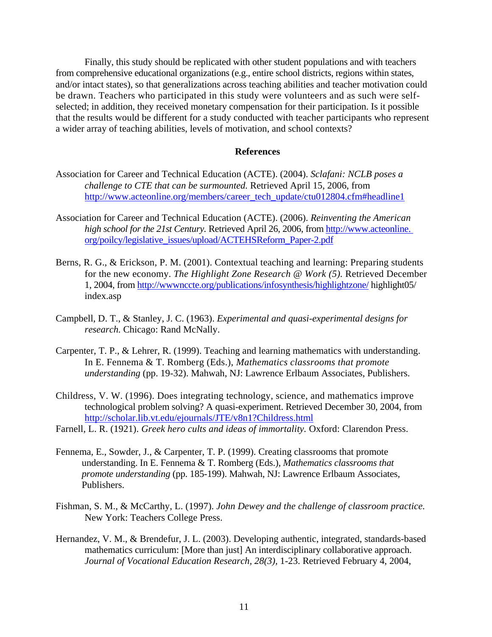Finally, this study should be replicated with other student populations and with teachers from comprehensive educational organizations (e.g., entire school districts, regions within states, and/or intact states), so that generalizations across teaching abilities and teacher motivation could be drawn. Teachers who participated in this study were volunteers and as such were selfselected; in addition, they received monetary compensation for their participation. Is it possible that the results would be different for a study conducted with teacher participants who represent a wider array of teaching abilities, levels of motivation, and school contexts?

## **References**

- Association for Career and Technical Education (ACTE). (2004). *Sclafani: NCLB poses a challenge to CTE that can be surmounted.* Retrieved April 15, 2006, from [http://www.acteonline.org/members/career\\_tech\\_update/ctu012804.cfm#headline1](http://www.acteonline.org/members/career_tech_update/ctu012804.cfm%23headline1)
- Association for Career and Technical Education (ACTE). (2006). *Reinventing the American high school for the 21st Century.* Retrieved April 26, 2006, from [http://www.acteonline.](http://www.acteonline.org/poilcy/legislative_issues/upload/ACTEHSReform_Paper-2.pdf)  [org/poilcy/legislative\\_issues/upload/ACTEHSReform\\_Paper-2.pdf](http://www.acteonline.org/poilcy/legislative_issues/upload/ACTEHSReform_Paper-2.pdf)
- Berns, R. G., & Erickson, P. M. (2001). Contextual teaching and learning: Preparing students for the new economy. *The Highlight Zone Research @ Work (5).* Retrieved December 1, 2004, from<http://wwwnccte.org/publications/infosynthesis/highlightzone/> highlight05/ index.asp
- Campbell, D. T., & Stanley, J. C. (1963). *Experimental and quasi-experimental designs for research.* Chicago: Rand McNally.
- Carpenter, T. P., & Lehrer, R. (1999). Teaching and learning mathematics with understanding. In E. Fennema & T. Romberg (Eds.), *Mathematics classrooms that promote understanding* (pp. 19-32). Mahwah, NJ: Lawrence Erlbaum Associates, Publishers.
- Childress, V. W. (1996). Does integrating technology, science, and mathematics improve technological problem solving? A quasi-experiment. Retrieved December 30, 2004, from <http://scholar.lib.vt.edu/ejournals/JTE/v8n1?Childress.html>
- Farnell, L. R. (1921). *Greek hero cults and ideas of immortality.* Oxford: Clarendon Press.
- Fennema, E., Sowder, J., & Carpenter, T. P. (1999). Creating classrooms that promote understanding. In E. Fennema & T. Romberg (Eds.), *Mathematics classrooms that promote understanding* (pp. 185-199). Mahwah, NJ: Lawrence Erlbaum Associates, Publishers.
- Fishman, S. M., & McCarthy, L. (1997). *John Dewey and the challenge of classroom practice.*  New York: Teachers College Press.
- Hernandez, V. M., & Brendefur, J. L. (2003). Developing authentic, integrated, standards-based mathematics curriculum: [More than just] An interdisciplinary collaborative approach. *Journal of Vocational Education Research, 28(3),* 1-23. Retrieved February 4, 2004,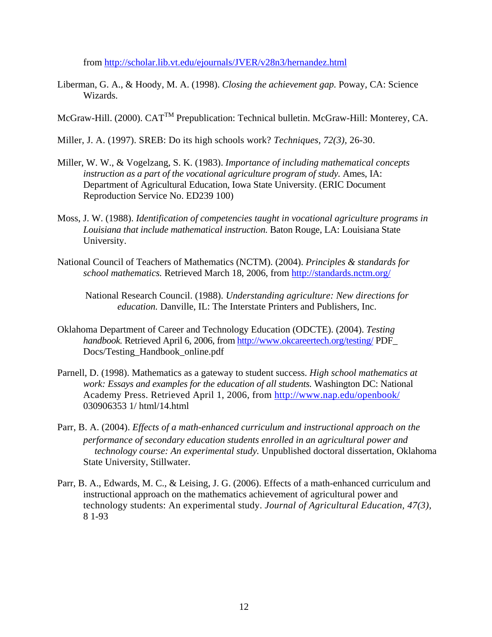from<http://scholar.lib.vt.edu/ejournals/JVER/v28n3/hernandez.html>

- Liberman, G. A., & Hoody, M. A. (1998). *Closing the achievement gap.* Poway, CA: Science Wizards.
- McGraw-Hill. (2000). CATTM Prepublication: Technical bulletin. McGraw-Hill: Monterey, CA.
- Miller, J. A. (1997). SREB: Do its high schools work? *Techniques, 72(3),* 26-30.
- Miller, W. W., & Vogelzang, S. K. (1983). *Importance of including mathematical concepts instruction as a part of the vocational agriculture program of study.* Ames, IA: Department of Agricultural Education, Iowa State University. (ERIC Document Reproduction Service No. ED239 100)
- Moss, J. W. (1988). *Identification of competencies taught in vocational agriculture programs in Louisiana that include mathematical instruction.* Baton Rouge, LA: Louisiana State University.
- National Council of Teachers of Mathematics (NCTM). (2004). *Principles & standards for school mathematics.* Retrieved March 18, 2006, from<http://standards.nctm.org/>

National Research Council. (1988). *Understanding agriculture: New directions for education.* Danville, IL: The Interstate Printers and Publishers, Inc.

- Oklahoma Department of Career and Technology Education (ODCTE). (2004). *Testing handbook.* Retrieved April 6, 2006, from<http://www.okcareertech.org/testing/>PDF\_ Docs/Testing\_Handbook\_online.pdf
- Parnell, D. (1998). Mathematics as a gateway to student success. *High school mathematics at work: Essays and examples for the education of all students.* Washington DC: National Academy Press. Retrieved April 1, 2006, from <http://www.nap.edu/openbook/> 030906353 1/ html/14.html
- Parr, B. A. (2004). *Effects of a math-enhanced curriculum and instructional approach on the performance of secondary education students enrolled in an agricultural power and technology course: An experimental study.* Unpublished doctoral dissertation, Oklahoma State University, Stillwater.
- Parr, B. A., Edwards, M. C., & Leising, J. G. (2006). Effects of a math-enhanced curriculum and instructional approach on the mathematics achievement of agricultural power and technology students: An experimental study. *Journal of Agricultural Education, 47(3),*  8 1-93